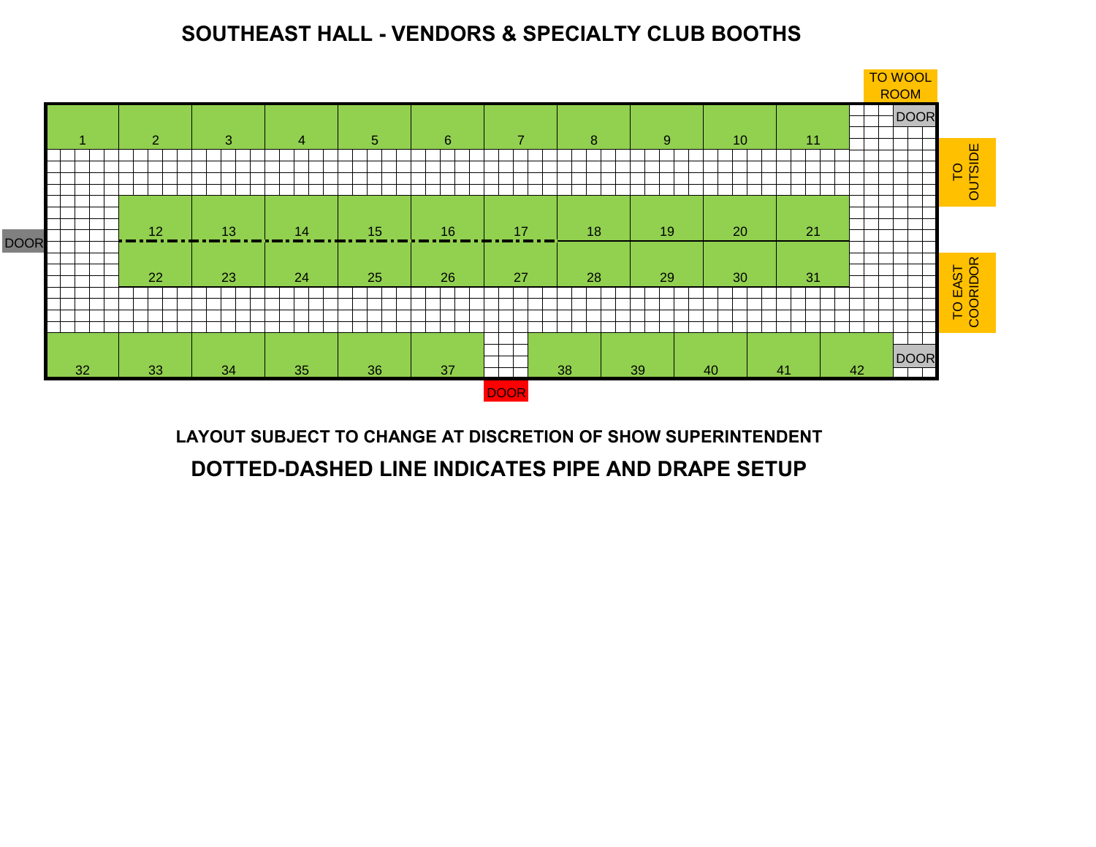## **SOUTHEAST HALL - VENDORS & SPECIALTY CLUB BOOTHS**



**LAYOUT SUBJECT TO CHANGE AT DISCRETION OF SHOW SUPERINTENDENT DOTTED-DASHED LINE INDICATES PIPE AND DRAPE SETUP**